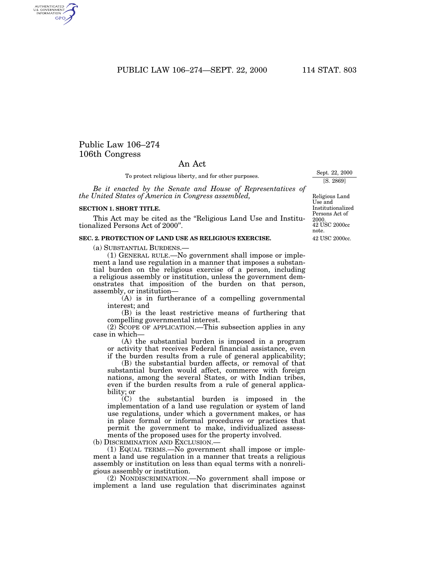PUBLIC LAW 106–274—SEPT. 22, 2000 114 STAT. 803

# Public Law 106–274 106th Congress

AUTHENTICATED<br>U.S. GOVERNMENT<br>INFORMATION GPO

### An Act

To protect religious liberty, and for other purposes.

*Be it enacted by the Senate and House of Representatives of the United States of America in Congress assembled,*

#### **SECTION 1. SHORT TITLE.**

This Act may be cited as the "Religious Land Use and Institutionalized Persons Act of 2000''.

#### **SEC. 2. PROTECTION OF LAND USE AS RELIGIOUS EXERCISE.**

(a) SUBSTANTIAL BURDENS.—

(1) GENERAL RULE.—No government shall impose or implement a land use regulation in a manner that imposes a substantial burden on the religious exercise of a person, including a religious assembly or institution, unless the government demonstrates that imposition of the burden on that person, assembly, or institution—

(A) is in furtherance of a compelling governmental interest; and

(B) is the least restrictive means of furthering that compelling governmental interest.

(2) SCOPE OF APPLICATION.—This subsection applies in any case in which—

(A) the substantial burden is imposed in a program or activity that receives Federal financial assistance, even if the burden results from a rule of general applicability;

(B) the substantial burden affects, or removal of that substantial burden would affect, commerce with foreign nations, among the several States, or with Indian tribes, even if the burden results from a rule of general applicability; or

(C) the substantial burden is imposed in the implementation of a land use regulation or system of land use regulations, under which a government makes, or has in place formal or informal procedures or practices that permit the government to make, individualized assessments of the proposed uses for the property involved.

(b) DISCRIMINATION AND EXCLUSION.—

(1) EQUAL TERMS.—No government shall impose or implement a land use regulation in a manner that treats a religious assembly or institution on less than equal terms with a nonreligious assembly or institution.

(2) NONDISCRIMINATION.—No government shall impose or implement a land use regulation that discriminates against

42 USC 2000cc. 42 USC 2000cc 2000. note. Religious Land Use and Institutionalized Persons Act of

Sept. 22, 2000 [S. 2869]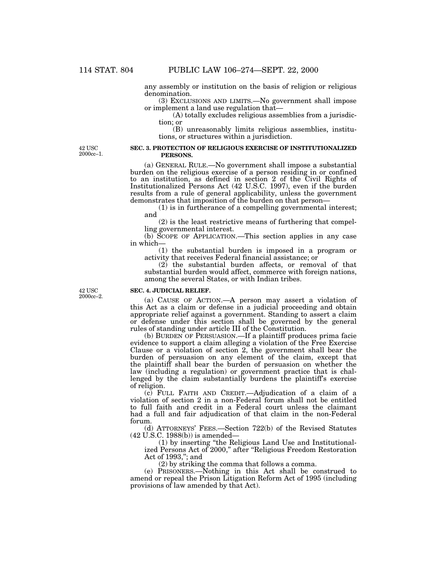any assembly or institution on the basis of religion or religious denomination.

(3) EXCLUSIONS AND LIMITS.—No government shall impose or implement a land use regulation that—

(A) totally excludes religious assemblies from a jurisdiction; or

(B) unreasonably limits religious assemblies, institutions, or structures within a jurisdiction.

42 USC 2000cc–1.

#### **SEC. 3. PROTECTION OF RELIGIOUS EXERCISE OF INSTITUTIONALIZED PERSONS.**

(a) GENERAL RULE.—No government shall impose a substantial burden on the religious exercise of a person residing in or confined to an institution, as defined in section 2 of the Civil Rights of Institutionalized Persons Act (42 U.S.C. 1997), even if the burden results from a rule of general applicability, unless the government demonstrates that imposition of the burden on that person—

(1) is in furtherance of a compelling governmental interest; and

(2) is the least restrictive means of furthering that compelling governmental interest.

(b) SCOPE OF APPLICATION.—This section applies in any case in which-

(1) the substantial burden is imposed in a program or activity that receives Federal financial assistance; or

(2) the substantial burden affects, or removal of that substantial burden would affect, commerce with foreign nations, among the several States, or with Indian tribes.

42 USC 2000cc–2.

### **SEC. 4. JUDICIAL RELIEF.**

(a) CAUSE OF ACTION.—A person may assert a violation of this Act as a claim or defense in a judicial proceeding and obtain appropriate relief against a government. Standing to assert a claim or defense under this section shall be governed by the general rules of standing under article III of the Constitution.

(b) BURDEN OF PERSUASION.—If a plaintiff produces prima facie evidence to support a claim alleging a violation of the Free Exercise Clause or a violation of section 2, the government shall bear the burden of persuasion on any element of the claim, except that the plaintiff shall bear the burden of persuasion on whether the law (including a regulation) or government practice that is challenged by the claim substantially burdens the plaintiff's exercise of religion.

(c) FULL FAITH AND CREDIT.—Adjudication of a claim of a violation of section 2 in a non-Federal forum shall not be entitled to full faith and credit in a Federal court unless the claimant had a full and fair adjudication of that claim in the non-Federal forum.

(d) ATTORNEYS' FEES.—Section 722(b) of the Revised Statutes  $(42$  U.S.C.  $1988(b)$ ) is amended-

(1) by inserting ''the Religious Land Use and Institutionalized Persons Act of 2000," after "Religious Freedom Restoration Act of 1993,''; and

(2) by striking the comma that follows a comma.

(e) PRISONERS.—Nothing in this Act shall be construed to amend or repeal the Prison Litigation Reform Act of 1995 (including provisions of law amended by that Act).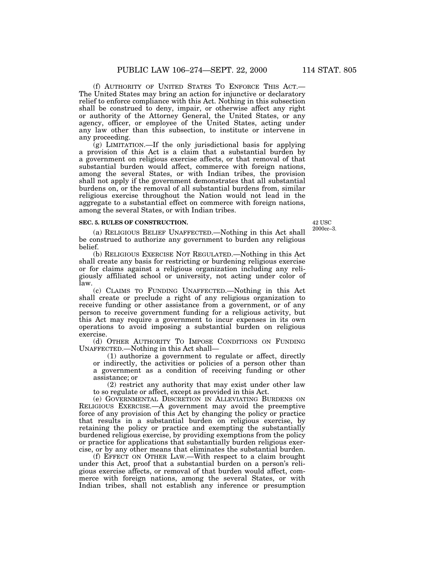(f) AUTHORITY OF UNITED STATES TO ENFORCE THIS ACT.— The United States may bring an action for injunctive or declaratory relief to enforce compliance with this Act. Nothing in this subsection shall be construed to deny, impair, or otherwise affect any right or authority of the Attorney General, the United States, or any agency, officer, or employee of the United States, acting under any law other than this subsection, to institute or intervene in any proceeding.

 $\bar{g}$ ) LIMITATION.—If the only jurisdictional basis for applying a provision of this Act is a claim that a substantial burden by a government on religious exercise affects, or that removal of that substantial burden would affect, commerce with foreign nations, among the several States, or with Indian tribes, the provision shall not apply if the government demonstrates that all substantial burdens on, or the removal of all substantial burdens from, similar religious exercise throughout the Nation would not lead in the aggregate to a substantial effect on commerce with foreign nations, among the several States, or with Indian tribes.

### **SEC. 5. RULES OF CONSTRUCTION.**

(a) RELIGIOUS BELIEF UNAFFECTED.—Nothing in this Act shall be construed to authorize any government to burden any religious belief.

(b) RELIGIOUS EXERCISE NOT REGULATED.—Nothing in this Act shall create any basis for restricting or burdening religious exercise or for claims against a religious organization including any religiously affiliated school or university, not acting under color of law.

(c) CLAIMS TO FUNDING UNAFFECTED.—Nothing in this Act shall create or preclude a right of any religious organization to receive funding or other assistance from a government, or of any person to receive government funding for a religious activity, but this Act may require a government to incur expenses in its own operations to avoid imposing a substantial burden on religious exercise.

(d) OTHER AUTHORITY TO IMPOSE CONDITIONS ON FUNDING UNAFFECTED.—Nothing in this Act shall—

(1) authorize a government to regulate or affect, directly or indirectly, the activities or policies of a person other than a government as a condition of receiving funding or other assistance; or

(2) restrict any authority that may exist under other law to so regulate or affect, except as provided in this Act.

(e) GOVERNMENTAL DISCRETION IN ALLEVIATING BURDENS ON RELIGIOUS EXERCISE.—A government may avoid the preemptive force of any provision of this Act by changing the policy or practice that results in a substantial burden on religious exercise, by retaining the policy or practice and exempting the substantially burdened religious exercise, by providing exemptions from the policy or practice for applications that substantially burden religious exercise, or by any other means that eliminates the substantial burden.

(f) EFFECT ON OTHER LAW.—With respect to a claim brought under this Act, proof that a substantial burden on a person's religious exercise affects, or removal of that burden would affect, commerce with foreign nations, among the several States, or with Indian tribes, shall not establish any inference or presumption

42 USC 2000cc–3.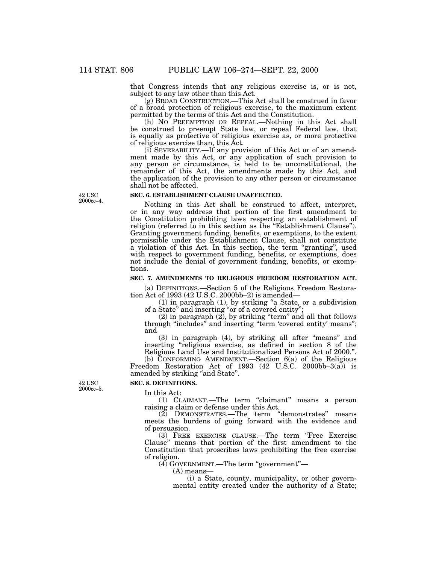that Congress intends that any religious exercise is, or is not, subject to any law other than this Act.

(g) BROAD CONSTRUCTION.—This Act shall be construed in favor of a broad protection of religious exercise, to the maximum extent permitted by the terms of this Act and the Constitution.

(h) NO PREEMPTION OR REPEAL.—Nothing in this Act shall be construed to preempt State law, or repeal Federal law, that is equally as protective of religious exercise as, or more protective of religious exercise than, this Act.

(i) SEVERABILITY.—If any provision of this Act or of an amendment made by this Act, or any application of such provision to any person or circumstance, is held to be unconstitutional, the remainder of this Act, the amendments made by this Act, and the application of the provision to any other person or circumstance shall not be affected.

### **SEC. 6. ESTABLISHMENT CLAUSE UNAFFECTED.**

Nothing in this Act shall be construed to affect, interpret, or in any way address that portion of the first amendment to the Constitution prohibiting laws respecting an establishment of religion (referred to in this section as the "Establishment Clause"). Granting government funding, benefits, or exemptions, to the extent permissible under the Establishment Clause, shall not constitute a violation of this Act. In this section, the term ''granting'', used with respect to government funding, benefits, or exemptions, does not include the denial of government funding, benefits, or exemptions.

#### **SEC. 7. AMENDMENTS TO RELIGIOUS FREEDOM RESTORATION ACT.**

(a) DEFINITIONS.—Section 5 of the Religious Freedom Restoration Act of 1993 (42 U.S.C. 2000bb–2) is amended—

(1) in paragraph (1), by striking ''a State, or a subdivision of a State'' and inserting ''or of a covered entity'';

(2) in paragraph (2), by striking ''term'' and all that follows through "includes" and inserting "term 'covered entity' means"; and

(3) in paragraph (4), by striking all after ''means'' and inserting ''religious exercise, as defined in section 8 of the Religious Land Use and Institutionalized Persons Act of 2000.''.

(b) CONFORMING AMENDMENT.—Section 6(a) of the Religious Freedom Restoration Act of 1993  $(42 \text{ U.S.C. } 2000 \text{ bb} - 3(\text{a}))$  is amended by striking "and State".

42 USC 2000cc–5.

## **SEC. 8. DEFINITIONS.**

In this Act:

(1) CLAIMANT.—The term "claimant" means a person raising a claim or defense under this Act.

(2) DEMONSTRATES.—The term ''demonstrates'' means meets the burdens of going forward with the evidence and of persuasion.

(3) FREE EXERCISE CLAUSE.—The term ''Free Exercise Clause'' means that portion of the first amendment to the Constitution that proscribes laws prohibiting the free exercise of religion.

 $(4)$  GOVERNMENT.—The term "government"—

(A) means—

(i) a State, county, municipality, or other governmental entity created under the authority of a State;

42 USC 2000cc–4.